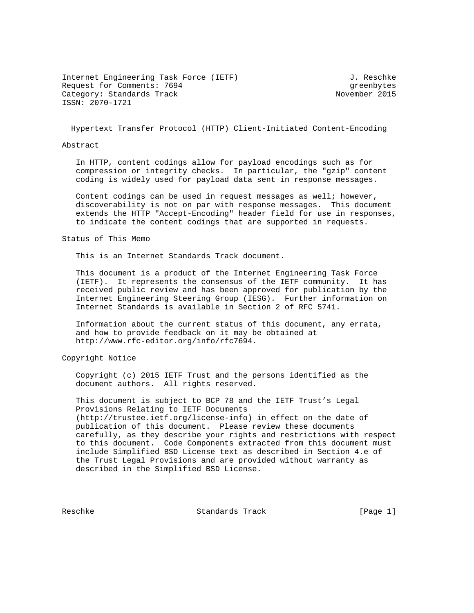Internet Engineering Task Force (IETF) 3. Reschke Request for Comments: 7694 Greenbytes Category: Standards Track 1997 1997 1997 1998 November 2015 ISSN: 2070-1721

Hypertext Transfer Protocol (HTTP) Client-Initiated Content-Encoding

### Abstract

 In HTTP, content codings allow for payload encodings such as for compression or integrity checks. In particular, the "gzip" content coding is widely used for payload data sent in response messages.

 Content codings can be used in request messages as well; however, discoverability is not on par with response messages. This document extends the HTTP "Accept-Encoding" header field for use in responses, to indicate the content codings that are supported in requests.

### Status of This Memo

This is an Internet Standards Track document.

 This document is a product of the Internet Engineering Task Force (IETF). It represents the consensus of the IETF community. It has received public review and has been approved for publication by the Internet Engineering Steering Group (IESG). Further information on Internet Standards is available in Section 2 of RFC 5741.

 Information about the current status of this document, any errata, and how to provide feedback on it may be obtained at http://www.rfc-editor.org/info/rfc7694.

## Copyright Notice

 Copyright (c) 2015 IETF Trust and the persons identified as the document authors. All rights reserved.

 This document is subject to BCP 78 and the IETF Trust's Legal Provisions Relating to IETF Documents (http://trustee.ietf.org/license-info) in effect on the date of publication of this document. Please review these documents carefully, as they describe your rights and restrictions with respect to this document. Code Components extracted from this document must include Simplified BSD License text as described in Section 4.e of the Trust Legal Provisions and are provided without warranty as described in the Simplified BSD License.

Reschke Standards Track [Page 1]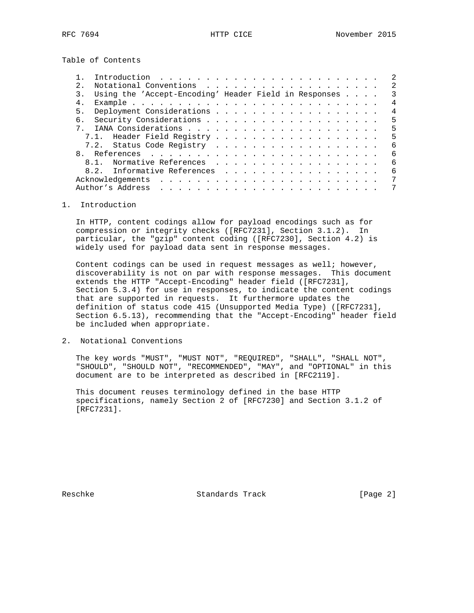Table of Contents

|    |                                                       | 2              |
|----|-------------------------------------------------------|----------------|
| 2. |                                                       | 2              |
| 3. | Using the 'Accept-Encoding' Header Field in Responses | 3              |
| 4. |                                                       | $\overline{4}$ |
| 5. |                                                       | $\overline{4}$ |
| რ. |                                                       | 5              |
|    |                                                       | 5              |
|    | 7.1. Header Field Registry                            | 5              |
|    | 7.2. Status Code Registry                             | 6              |
| 8  |                                                       | 6              |
|    | 8.1. Normative References                             | 6              |
|    | 8.2. Informative References                           | 6              |
|    |                                                       | 7              |
|    | Author's Address                                      |                |
|    |                                                       |                |

## 1. Introduction

 In HTTP, content codings allow for payload encodings such as for compression or integrity checks ([RFC7231], Section 3.1.2). In particular, the "gzip" content coding ([RFC7230], Section 4.2) is widely used for payload data sent in response messages.

Content codings can be used in request messages as well; however, discoverability is not on par with response messages. This document extends the HTTP "Accept-Encoding" header field ([RFC7231], Section 5.3.4) for use in responses, to indicate the content codings that are supported in requests. It furthermore updates the definition of status code 415 (Unsupported Media Type) ([RFC7231], Section 6.5.13), recommending that the "Accept-Encoding" header field be included when appropriate.

2. Notational Conventions

 The key words "MUST", "MUST NOT", "REQUIRED", "SHALL", "SHALL NOT", "SHOULD", "SHOULD NOT", "RECOMMENDED", "MAY", and "OPTIONAL" in this document are to be interpreted as described in [RFC2119].

 This document reuses terminology defined in the base HTTP specifications, namely Section 2 of [RFC7230] and Section 3.1.2 of [RFC7231].

Reschke Standards Track [Page 2]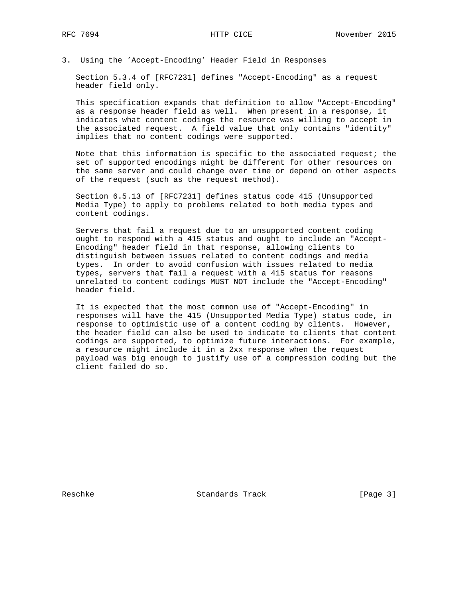3. Using the 'Accept-Encoding' Header Field in Responses

 Section 5.3.4 of [RFC7231] defines "Accept-Encoding" as a request header field only.

 This specification expands that definition to allow "Accept-Encoding" as a response header field as well. When present in a response, it indicates what content codings the resource was willing to accept in the associated request. A field value that only contains "identity" implies that no content codings were supported.

 Note that this information is specific to the associated request; the set of supported encodings might be different for other resources on the same server and could change over time or depend on other aspects of the request (such as the request method).

 Section 6.5.13 of [RFC7231] defines status code 415 (Unsupported Media Type) to apply to problems related to both media types and content codings.

 Servers that fail a request due to an unsupported content coding ought to respond with a 415 status and ought to include an "Accept- Encoding" header field in that response, allowing clients to distinguish between issues related to content codings and media types. In order to avoid confusion with issues related to media types, servers that fail a request with a 415 status for reasons unrelated to content codings MUST NOT include the "Accept-Encoding" header field.

 It is expected that the most common use of "Accept-Encoding" in responses will have the 415 (Unsupported Media Type) status code, in response to optimistic use of a content coding by clients. However, the header field can also be used to indicate to clients that content codings are supported, to optimize future interactions. For example, a resource might include it in a 2xx response when the request payload was big enough to justify use of a compression coding but the client failed do so.

Reschke Standards Track [Page 3]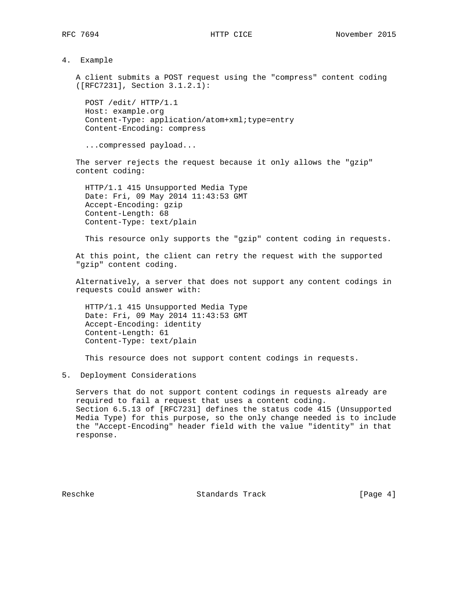4. Example

 A client submits a POST request using the "compress" content coding ([RFC7231], Section 3.1.2.1):

 POST /edit/ HTTP/1.1 Host: example.org Content-Type: application/atom+xml;type=entry Content-Encoding: compress

...compressed payload...

 The server rejects the request because it only allows the "gzip" content coding:

 HTTP/1.1 415 Unsupported Media Type Date: Fri, 09 May 2014 11:43:53 GMT Accept-Encoding: gzip Content-Length: 68 Content-Type: text/plain

This resource only supports the "gzip" content coding in requests.

 At this point, the client can retry the request with the supported "gzip" content coding.

 Alternatively, a server that does not support any content codings in requests could answer with:

 HTTP/1.1 415 Unsupported Media Type Date: Fri, 09 May 2014 11:43:53 GMT Accept-Encoding: identity Content-Length: 61 Content-Type: text/plain

This resource does not support content codings in requests.

5. Deployment Considerations

 Servers that do not support content codings in requests already are required to fail a request that uses a content coding. Section 6.5.13 of [RFC7231] defines the status code 415 (Unsupported Media Type) for this purpose, so the only change needed is to include the "Accept-Encoding" header field with the value "identity" in that response.

Reschke Standards Track [Page 4]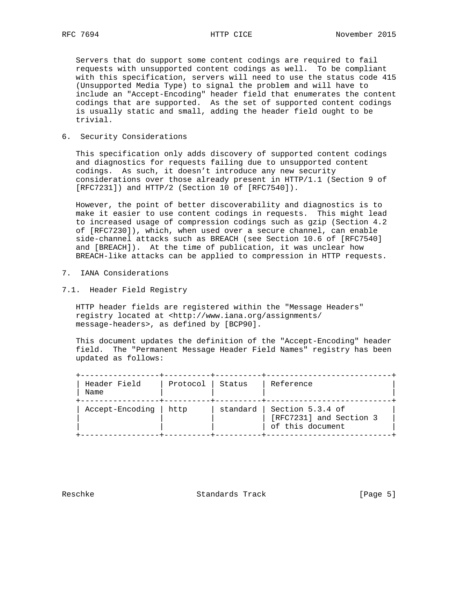Servers that do support some content codings are required to fail requests with unsupported content codings as well. To be compliant with this specification, servers will need to use the status code 415 (Unsupported Media Type) to signal the problem and will have to include an "Accept-Encoding" header field that enumerates the content codings that are supported. As the set of supported content codings is usually static and small, adding the header field ought to be trivial.

6. Security Considerations

 This specification only adds discovery of supported content codings and diagnostics for requests failing due to unsupported content codings. As such, it doesn't introduce any new security considerations over those already present in HTTP/1.1 (Section 9 of [RFC7231]) and HTTP/2 (Section 10 of [RFC7540]).

 However, the point of better discoverability and diagnostics is to make it easier to use content codings in requests. This might lead to increased usage of compression codings such as gzip (Section 4.2 of [RFC7230]), which, when used over a secure channel, can enable side-channel attacks such as BREACH (see Section 10.6 of [RFC7540] and [BREACH]). At the time of publication, it was unclear how BREACH-like attacks can be applied to compression in HTTP requests.

- 7. IANA Considerations
- 7.1. Header Field Registry

 HTTP header fields are registered within the "Message Headers" registry located at <http://www.iana.org/assignments/ message-headers>, as defined by [BCP90].

 This document updates the definition of the "Accept-Encoding" header field. The "Permanent Message Header Field Names" registry has been updated as follows:

| Header Field<br>Name | Protocol Status |            | Reference                                                       |
|----------------------|-----------------|------------|-----------------------------------------------------------------|
| Accept-Encoding      | l http          | standard l | Section 5.3.4 of<br>[RFC7231] and Section 3<br>of this document |

Reschke Standards Track [Page 5]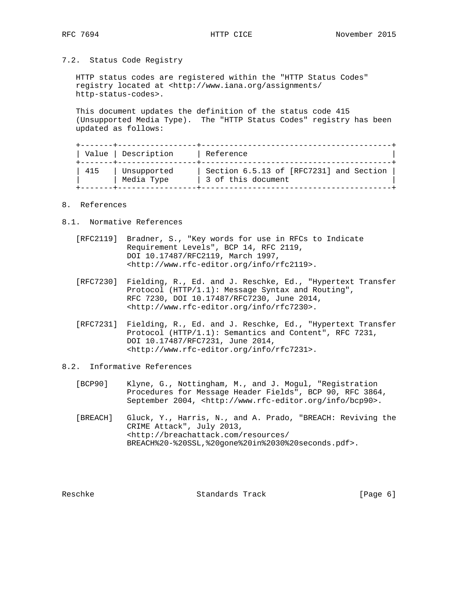### 7.2. Status Code Registry

 HTTP status codes are registered within the "HTTP Status Codes" registry located at <http://www.iana.org/assignments/ http-status-codes>.

 This document updates the definition of the status code 415 (Unsupported Media Type). The "HTTP Status Codes" registry has been updated as follows:

|     | Value   Description       | Reference                                                     |
|-----|---------------------------|---------------------------------------------------------------|
| 415 | Unsupported<br>Media Type | Section 6.5.13 of [RFC7231] and Section<br>3 of this document |

# 8. References

- 8.1. Normative References
	- [RFC2119] Bradner, S., "Key words for use in RFCs to Indicate Requirement Levels", BCP 14, RFC 2119, DOI 10.17487/RFC2119, March 1997, <http://www.rfc-editor.org/info/rfc2119>.
	- [RFC7230] Fielding, R., Ed. and J. Reschke, Ed., "Hypertext Transfer Protocol (HTTP/1.1): Message Syntax and Routing", RFC 7230, DOI 10.17487/RFC7230, June 2014, <http://www.rfc-editor.org/info/rfc7230>.
	- [RFC7231] Fielding, R., Ed. and J. Reschke, Ed., "Hypertext Transfer Protocol (HTTP/1.1): Semantics and Content", RFC 7231, DOI 10.17487/RFC7231, June 2014, <http://www.rfc-editor.org/info/rfc7231>.

# 8.2. Informative References

- [BCP90] Klyne, G., Nottingham, M., and J. Mogul, "Registration Procedures for Message Header Fields", BCP 90, RFC 3864, September 2004, <http://www.rfc-editor.org/info/bcp90>.
- [BREACH] Gluck, Y., Harris, N., and A. Prado, "BREACH: Reviving the CRIME Attack", July 2013, <http://breachattack.com/resources/ BREACH%20-%20SSL,%20gone%20in%2030%20seconds.pdf>.

Reschke Standards Track [Page 6]